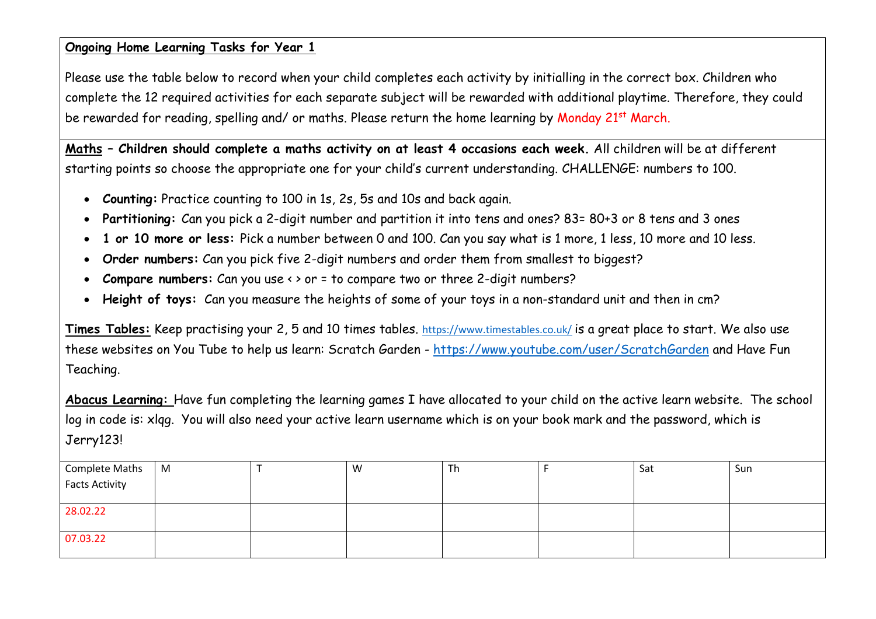### **Ongoing Home Learning Tasks for Year 1**

Please use the table below to record when your child completes each activity by initialling in the correct box. Children who complete the 12 required activities for each separate subject will be rewarded with additional playtime. Therefore, they could be rewarded for reading, spelling and/ or maths. Please return the home learning by Monday 21<sup>st</sup> March.

**Maths – Children should complete a maths activity on at least 4 occasions each week.** All children will be at different starting points so choose the appropriate one for your child's current understanding. CHALLENGE: numbers to 100.

- **Counting:** Practice counting to 100 in 1s, 2s, 5s and 10s and back again.
- **Partitioning:** Can you pick a 2-digit number and partition it into tens and ones? 83= 80+3 or 8 tens and 3 ones
- **1 or 10 more or less:** Pick a number between 0 and 100. Can you say what is 1 more, 1 less, 10 more and 10 less.
- **Order numbers:** Can you pick five 2-digit numbers and order them from smallest to biggest?
- **Compare numbers:** Can you use < > or = to compare two or three 2-digit numbers?
- **Height of toys:** Can you measure the heights of some of your toys in a non-standard unit and then in cm?

**Times Tables:** Keep practising your 2, 5 and 10 times tables. <https://www.timestables.co.uk/> is a great place to start. We also use these websites on You Tube to help us learn: Scratch Garden - <https://www.youtube.com/user/ScratchGarden> and Have Fun Teaching.

**Abacus Learning:** Have fun completing the learning games I have allocated to your child on the active learn website. The school log in code is: xlqg. You will also need your active learn username which is on your book mark and the password, which is Jerry123!

| Complete Maths        | M | w | 1h | Sat | Sun |
|-----------------------|---|---|----|-----|-----|
| <b>Facts Activity</b> |   |   |    |     |     |
|                       |   |   |    |     |     |
| 28.02.22              |   |   |    |     |     |
|                       |   |   |    |     |     |
| 07.03.22              |   |   |    |     |     |
|                       |   |   |    |     |     |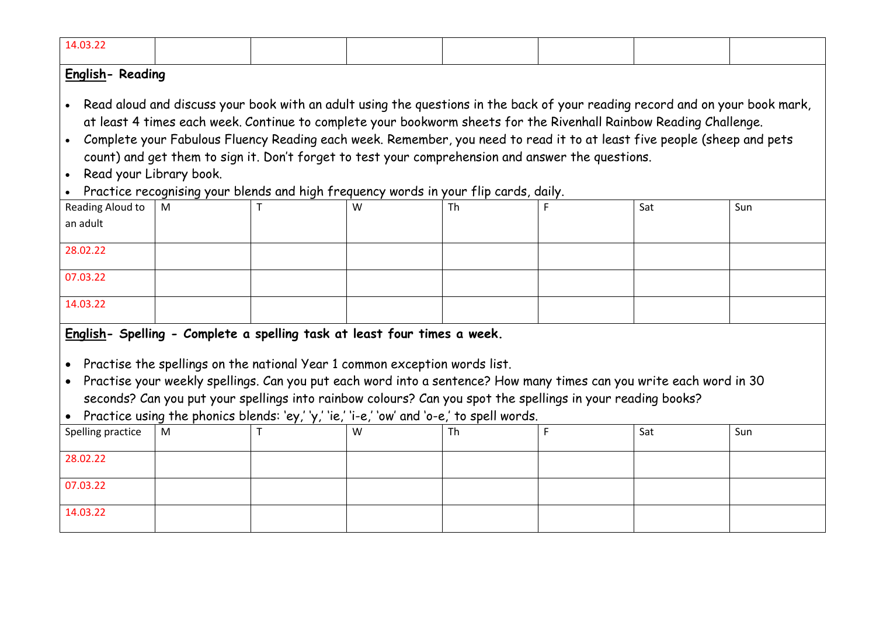| 14.03.22                                                                                                                                                                                                                                                                                                                                                                                                                                                                                                                                                                                              |   |  |   |           |   |     |     |  |  |  |  |
|-------------------------------------------------------------------------------------------------------------------------------------------------------------------------------------------------------------------------------------------------------------------------------------------------------------------------------------------------------------------------------------------------------------------------------------------------------------------------------------------------------------------------------------------------------------------------------------------------------|---|--|---|-----------|---|-----|-----|--|--|--|--|
| English-Reading                                                                                                                                                                                                                                                                                                                                                                                                                                                                                                                                                                                       |   |  |   |           |   |     |     |  |  |  |  |
| Read aloud and discuss your book with an adult using the questions in the back of your reading record and on your book mark,<br>at least 4 times each week. Continue to complete your bookworm sheets for the Rivenhall Rainbow Reading Challenge.<br>Complete your Fabulous Fluency Reading each week. Remember, you need to read it to at least five people (sheep and pets<br>count) and get them to sign it. Don't forget to test your comprehension and answer the questions.<br>Read your Library book.<br>Practice recognising your blends and high frequency words in your flip cards, daily. |   |  |   |           |   |     |     |  |  |  |  |
| Reading Aloud to<br>an adult                                                                                                                                                                                                                                                                                                                                                                                                                                                                                                                                                                          | M |  | W | <b>Th</b> |   | Sat | Sun |  |  |  |  |
|                                                                                                                                                                                                                                                                                                                                                                                                                                                                                                                                                                                                       |   |  |   |           |   |     |     |  |  |  |  |
| 28.02.22                                                                                                                                                                                                                                                                                                                                                                                                                                                                                                                                                                                              |   |  |   |           |   |     |     |  |  |  |  |
| 07.03.22                                                                                                                                                                                                                                                                                                                                                                                                                                                                                                                                                                                              |   |  |   |           |   |     |     |  |  |  |  |
| 14.03.22                                                                                                                                                                                                                                                                                                                                                                                                                                                                                                                                                                                              |   |  |   |           |   |     |     |  |  |  |  |
| English- Spelling - Complete a spelling task at least four times a week.<br>Practise the spellings on the national Year 1 common exception words list.<br>Practise your weekly spellings. Can you put each word into a sentence? How many times can you write each word in 30<br>seconds? Can you put your spellings into rainbow colours? Can you spot the spellings in your reading books?<br>Practice using the phonics blends: 'ey,' 'y,' 'ie,' 'i-e,' 'ow' and 'o-e,' to spell words.                                                                                                            |   |  |   |           |   |     |     |  |  |  |  |
| Spelling practice                                                                                                                                                                                                                                                                                                                                                                                                                                                                                                                                                                                     | M |  | w | Th        | F | Sat | Sun |  |  |  |  |
| 28.02.22                                                                                                                                                                                                                                                                                                                                                                                                                                                                                                                                                                                              |   |  |   |           |   |     |     |  |  |  |  |
| 07.03.22                                                                                                                                                                                                                                                                                                                                                                                                                                                                                                                                                                                              |   |  |   |           |   |     |     |  |  |  |  |
| 14.03.22                                                                                                                                                                                                                                                                                                                                                                                                                                                                                                                                                                                              |   |  |   |           |   |     |     |  |  |  |  |